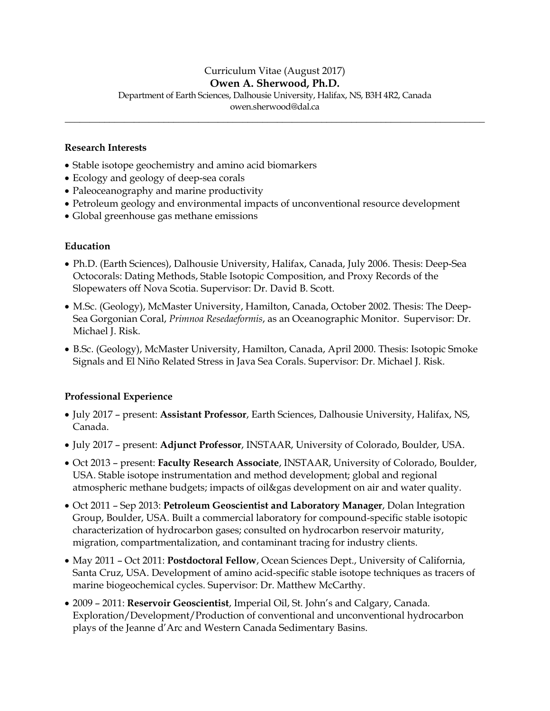# Curriculum Vitae (August 2017)

#### **Owen A. Sherwood, Ph.D.**

Department of Earth Sciences, Dalhousie University, Halifax, NS, B3H 4R2, Canada

owen.sherwood@dal.ca **\_\_\_\_\_\_\_\_\_\_\_\_\_\_\_\_\_\_\_\_\_\_\_\_\_\_\_\_\_\_\_\_\_\_\_\_\_\_\_\_\_\_\_\_\_\_\_\_\_\_\_\_\_\_\_\_\_\_\_\_\_\_\_\_\_\_\_\_\_\_\_\_\_\_\_\_\_\_\_\_\_\_\_\_\_**

#### **Research Interests**

- Stable isotope geochemistry and amino acid biomarkers
- Ecology and geology of deep-sea corals
- Paleoceanography and marine productivity
- Petroleum geology and environmental impacts of unconventional resource development
- Global greenhouse gas methane emissions

#### **Education**

- Ph.D. (Earth Sciences), Dalhousie University, Halifax, Canada, July 2006. Thesis: Deep-Sea Octocorals: Dating Methods, Stable Isotopic Composition, and Proxy Records of the Slopewaters off Nova Scotia. Supervisor: Dr. David B. Scott.
- M.Sc. (Geology), McMaster University, Hamilton, Canada, October 2002. Thesis: The Deep-Sea Gorgonian Coral, *Primnoa Resedaeformis*, as an Oceanographic Monitor. Supervisor: Dr. Michael J. Risk.
- B.Sc. (Geology), McMaster University, Hamilton, Canada, April 2000. Thesis: Isotopic Smoke Signals and El Niño Related Stress in Java Sea Corals. Supervisor: Dr. Michael J. Risk.

#### **Professional Experience**

- July 2017 present: **Assistant Professor**, Earth Sciences, Dalhousie University, Halifax, NS, Canada.
- July 2017 present: **Adjunct Professor**, INSTAAR, University of Colorado, Boulder, USA.
- Oct 2013 present: **Faculty Research Associate**, INSTAAR, University of Colorado, Boulder, USA. Stable isotope instrumentation and method development; global and regional atmospheric methane budgets; impacts of oil&gas development on air and water quality.
- Oct 2011 Sep 2013: **Petroleum Geoscientist and Laboratory Manager**, Dolan Integration Group, Boulder, USA. Built a commercial laboratory for compound-specific stable isotopic characterization of hydrocarbon gases; consulted on hydrocarbon reservoir maturity, migration, compartmentalization, and contaminant tracing for industry clients.
- May 2011 Oct 2011: **Postdoctoral Fellow**, Ocean Sciences Dept., University of California, Santa Cruz, USA. Development of amino acid-specific stable isotope techniques as tracers of marine biogeochemical cycles. Supervisor: Dr. Matthew McCarthy.
- 2009 2011: **Reservoir Geoscientist**, Imperial Oil, St. John's and Calgary, Canada. Exploration/Development/Production of conventional and unconventional hydrocarbon plays of the Jeanne d'Arc and Western Canada Sedimentary Basins.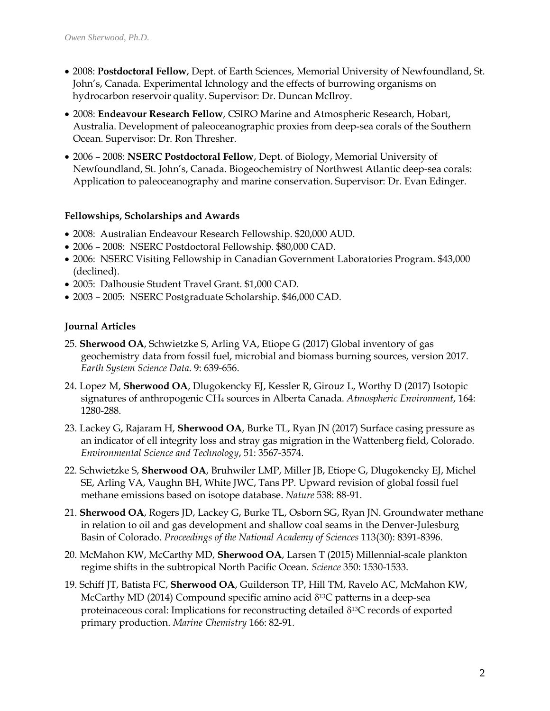- 2008: **Postdoctoral Fellow**, Dept. of Earth Sciences, Memorial University of Newfoundland, St. John's, Canada. Experimental Ichnology and the effects of burrowing organisms on hydrocarbon reservoir quality. Supervisor: Dr. Duncan McIlroy.
- 2008: **Endeavour Research Fellow**, CSIRO Marine and Atmospheric Research, Hobart, Australia. Development of paleoceanographic proxies from deep-sea corals of the Southern Ocean. Supervisor: Dr. Ron Thresher.
- 2006 2008: **NSERC Postdoctoral Fellow**, Dept. of Biology, Memorial University of Newfoundland, St. John's, Canada. Biogeochemistry of Northwest Atlantic deep-sea corals: Application to paleoceanography and marine conservation. Supervisor: Dr. Evan Edinger.

#### **Fellowships, Scholarships and Awards**

- 2008: Australian Endeavour Research Fellowship. \$20,000 AUD.
- 2006 2008: NSERC Postdoctoral Fellowship. \$80,000 CAD.
- 2006: NSERC Visiting Fellowship in Canadian Government Laboratories Program. \$43,000 (declined).
- 2005: Dalhousie Student Travel Grant. \$1,000 CAD.
- 2003 2005: NSERC Postgraduate Scholarship. \$46,000 CAD.

# **Journal Articles**

- 25. **Sherwood OA**, Schwietzke S, Arling VA, Etiope G (2017) Global inventory of gas geochemistry data from fossil fuel, microbial and biomass burning sources, version 2017. *Earth System Science Data*. 9: 639-656.
- 24. Lopez M, **Sherwood OA**, Dlugokencky EJ, Kessler R, Girouz L, Worthy D (2017) Isotopic signatures of anthropogenic CH<sup>4</sup> sources in Alberta Canada. *Atmospheric Environment*, 164: 1280-288.
- 23. Lackey G, Rajaram H, **Sherwood OA**, Burke TL, Ryan JN (2017) Surface casing pressure as an indicator of ell integrity loss and stray gas migration in the Wattenberg field, Colorado. *Environmental Science and Technology*, 51: 3567-3574.
- 22. Schwietzke S, **Sherwood OA**, Bruhwiler LMP, Miller JB, Etiope G, Dlugokencky EJ, Michel SE, Arling VA, Vaughn BH, White JWC, Tans PP. Upward revision of global fossil fuel methane emissions based on isotope database. *Nature* 538: 88-91.
- 21. **Sherwood OA**, Rogers JD, Lackey G, Burke TL, Osborn SG, Ryan JN. Groundwater methane in relation to oil and gas development and shallow coal seams in the Denver-Julesburg Basin of Colorado. *Proceedings of the National Academy of Sciences* 113(30): 8391-8396.
- 20. McMahon KW, McCarthy MD, **Sherwood OA**, Larsen T (2015) Millennial-scale plankton regime shifts in the subtropical North Pacific Ocean. *Science* 350: 1530-1533.
- 19. Schiff JT, Batista FC, **Sherwood OA**, Guilderson TP, Hill TM, Ravelo AC, McMahon KW, McCarthy MD (2014) Compound specific amino acid  $\delta^{13}$ C patterns in a deep-sea proteinaceous coral: Implications for reconstructing detailed  $\delta^{13}C$  records of exported primary production. *Marine Chemistry* 166: 82-91.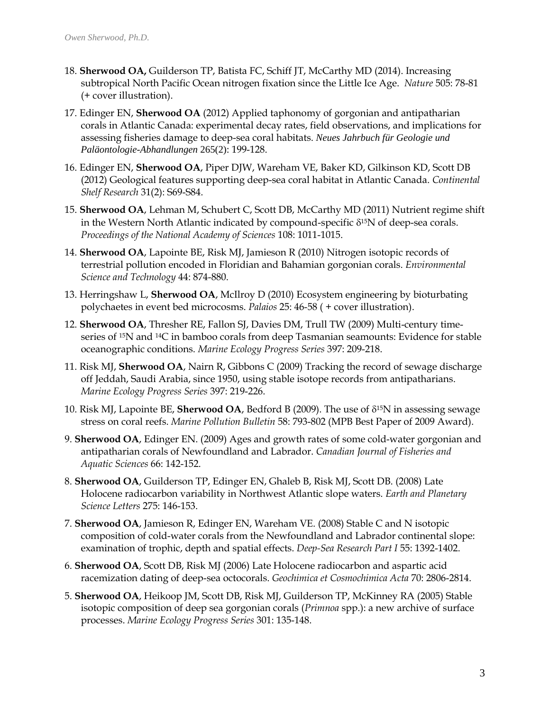- 18. **Sherwood OA,** Guilderson TP, Batista FC, Schiff JT, McCarthy MD (2014). Increasing subtropical North Pacific Ocean nitrogen fixation since the Little Ice Age. *Nature* 505: 78-81 (+ cover illustration).
- 17. Edinger EN, **Sherwood OA** (2012) Applied taphonomy of gorgonian and antipatharian corals in Atlantic Canada: experimental decay rates, field observations, and implications for assessing fisheries damage to deep-sea coral habitats. *Neues Jahrbuch für Geologie und Paläontologie-Abhandlungen* 265(2): 199-128.
- 16. Edinger EN, **Sherwood OA**, Piper DJW, Wareham VE, Baker KD, Gilkinson KD, Scott DB (2012) Geological features supporting deep-sea coral habitat in Atlantic Canada. *Continental Shelf Research* 31(2): S69-S84.
- 15. **Sherwood OA**, Lehman M, Schubert C, Scott DB, McCarthy MD (2011) Nutrient regime shift in the Western North Atlantic indicated by compound-specific  $\delta^{15}N$  of deep-sea corals. *Proceedings of the National Academy of Sciences* 108: 1011-1015.
- 14. **Sherwood OA**, Lapointe BE, Risk MJ, Jamieson R (2010) Nitrogen isotopic records of terrestrial pollution encoded in Floridian and Bahamian gorgonian corals. *Environmental Science and Technology* 44: 874-880.
- 13. Herringshaw L, **Sherwood OA**, McIlroy D (2010) Ecosystem engineering by bioturbating polychaetes in event bed microcosms. *Palaios* 25: 46-58 ( + cover illustration).
- 12. **Sherwood OA**, Thresher RE, Fallon SJ, Davies DM, Trull TW (2009) Multi-century timeseries of 15N and 14C in bamboo corals from deep Tasmanian seamounts: Evidence for stable oceanographic conditions. *Marine Ecology Progress Series* 397: 209-218.
- 11. Risk MJ, **Sherwood OA**, Nairn R, Gibbons C (2009) Tracking the record of sewage discharge off Jeddah, Saudi Arabia, since 1950, using stable isotope records from antipatharians. *Marine Ecology Progress Series* 397: 219-226.
- 10. Risk MJ, Lapointe BE, **Sherwood OA**, Bedford B (2009). The use of  $\delta^{15}N$  in assessing sewage stress on coral reefs. *Marine Pollution Bulletin* 58: 793-802 (MPB Best Paper of 2009 Award).
- 9. **Sherwood OA**, Edinger EN. (2009) Ages and growth rates of some cold-water gorgonian and antipatharian corals of Newfoundland and Labrador. *Canadian Journal of Fisheries and Aquatic Sciences* 66: 142-152.
- 8. **Sherwood OA**, Guilderson TP, Edinger EN, Ghaleb B, Risk MJ, Scott DB. (2008) Late Holocene radiocarbon variability in Northwest Atlantic slope waters. *Earth and Planetary Science Letters* 275: 146-153.
- 7. **Sherwood OA**, Jamieson R, Edinger EN, Wareham VE. (2008) Stable C and N isotopic composition of cold-water corals from the Newfoundland and Labrador continental slope: examination of trophic, depth and spatial effects. *Deep-Sea Research Part I* 55: 1392-1402.
- 6. **Sherwood OA**, Scott DB, Risk MJ (2006) Late Holocene radiocarbon and aspartic acid racemization dating of deep-sea octocorals. *Geochimica et Cosmochimica Acta* 70: 2806-2814.
- 5. **Sherwood OA**, Heikoop JM, Scott DB, Risk MJ, Guilderson TP, McKinney RA (2005) Stable isotopic composition of deep sea gorgonian corals (*Primnoa* spp.): a new archive of surface processes. *Marine Ecology Progress Series* 301: 135-148.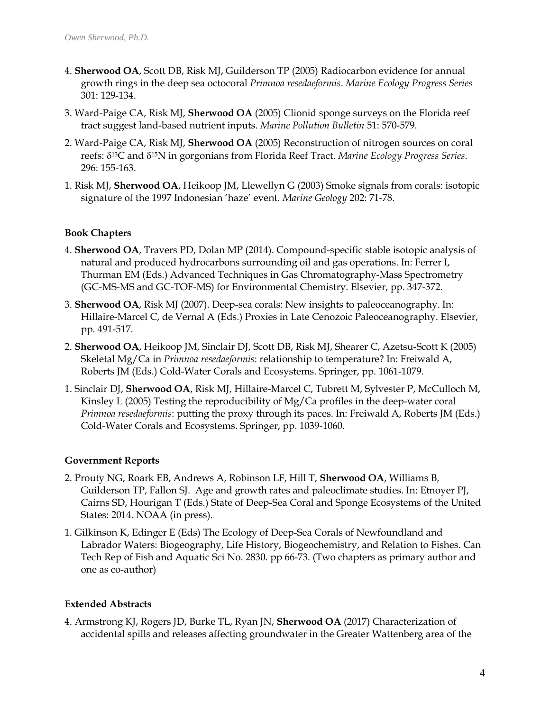- 4. **Sherwood OA**, Scott DB, Risk MJ, Guilderson TP (2005) Radiocarbon evidence for annual growth rings in the deep sea octocoral *Primnoa resedaeformis*. *Marine Ecology Progress Series* 301: 129-134.
- 3. Ward-Paige CA, Risk MJ, **Sherwood OA** (2005) Clionid sponge surveys on the Florida reef tract suggest land-based nutrient inputs. *Marine Pollution Bulletin* 51: 570-579.
- 2. Ward-Paige CA, Risk MJ, **Sherwood OA** (2005) Reconstruction of nitrogen sources on coral reefs: δ<sup>13</sup>C and δ<sup>15</sup>N in gorgonians from Florida Reef Tract. *Marine Ecology Progress Series*. 296: 155-163.
- 1. Risk MJ, **Sherwood OA**, Heikoop JM, Llewellyn G (2003) Smoke signals from corals: isotopic signature of the 1997 Indonesian 'haze' event. *Marine Geology* 202: 71-78.

# **Book Chapters**

- 4. **Sherwood OA**, Travers PD, Dolan MP (2014). Compound-specific stable isotopic analysis of natural and produced hydrocarbons surrounding oil and gas operations. In: Ferrer I, Thurman EM (Eds.) Advanced Techniques in Gas Chromatography-Mass Spectrometry (GC-MS-MS and GC-TOF-MS) for Environmental Chemistry. Elsevier, pp. 347-372.
- 3. **Sherwood OA**, Risk MJ (2007). Deep-sea corals: New insights to paleoceanography. In: Hillaire-Marcel C, de Vernal A (Eds.) Proxies in Late Cenozoic Paleoceanography. Elsevier, pp. 491-517.
- 2. **Sherwood OA**, Heikoop JM, Sinclair DJ, Scott DB, Risk MJ, Shearer C, Azetsu-Scott K (2005) Skeletal Mg/Ca in *Primnoa resedaeformis*: relationship to temperature? In: Freiwald A, Roberts JM (Eds.) Cold-Water Corals and Ecosystems. Springer, pp. 1061-1079.
- 1. Sinclair DJ, **Sherwood OA**, Risk MJ, Hillaire-Marcel C, Tubrett M, Sylvester P, McCulloch M, Kinsley L (2005) Testing the reproducibility of  $Mg/Ca$  profiles in the deep-water coral *Primnoa resedaeformis*: putting the proxy through its paces. In: Freiwald A, Roberts JM (Eds.) Cold-Water Corals and Ecosystems. Springer, pp. 1039-1060.

# **Government Reports**

- 2. Prouty NG, Roark EB, Andrews A, Robinson LF, Hill T, **Sherwood OA**, Williams B, Guilderson TP, Fallon SJ. Age and growth rates and paleoclimate studies. In: Etnoyer PJ, Cairns SD, Hourigan T (Eds.) State of Deep-Sea Coral and Sponge Ecosystems of the United States: 2014. NOAA (in press).
- 1. Gilkinson K, Edinger E (Eds) The Ecology of Deep-Sea Corals of Newfoundland and Labrador Waters: Biogeography, Life History, Biogeochemistry, and Relation to Fishes. Can Tech Rep of Fish and Aquatic Sci No. 2830. pp 66-73. (Two chapters as primary author and one as co-author)

# **Extended Abstracts**

4. Armstrong KJ, Rogers JD, Burke TL, Ryan JN, **Sherwood OA** (2017) Characterization of accidental spills and releases affecting groundwater in the Greater Wattenberg area of the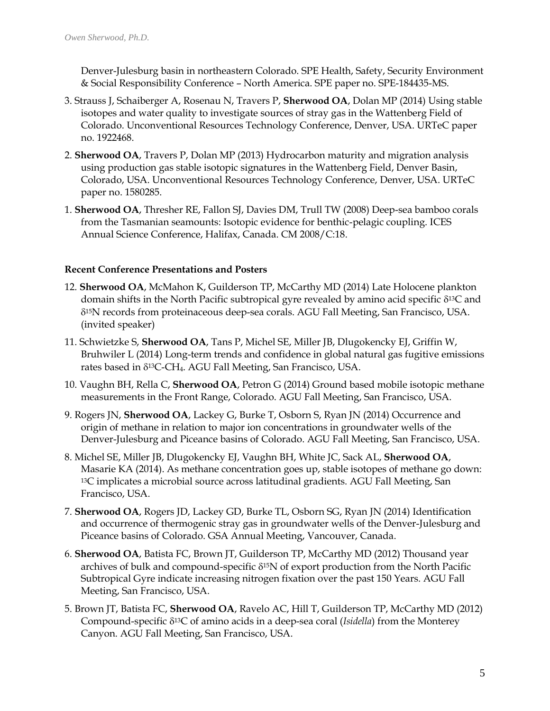Denver-Julesburg basin in northeastern Colorado. SPE Health, Safety, Security Environment & Social Responsibility Conference – North America. SPE paper no. SPE-184435-MS.

- 3. Strauss J, Schaiberger A, Rosenau N, Travers P, **Sherwood OA**, Dolan MP (2014) Using stable isotopes and water quality to investigate sources of stray gas in the Wattenberg Field of Colorado. Unconventional Resources Technology Conference, Denver, USA. URTeC paper no. 1922468.
- 2. **Sherwood OA**, Travers P, Dolan MP (2013) Hydrocarbon maturity and migration analysis using production gas stable isotopic signatures in the Wattenberg Field, Denver Basin, Colorado, USA. Unconventional Resources Technology Conference, Denver, USA. URTeC paper no. 1580285.
- 1. **Sherwood OA**, Thresher RE, Fallon SJ, Davies DM, Trull TW (2008) Deep-sea bamboo corals from the Tasmanian seamounts: Isotopic evidence for benthic-pelagic coupling. ICES Annual Science Conference, Halifax, Canada. CM 2008/C:18.

#### **Recent Conference Presentations and Posters**

- 12. **Sherwood OA**, McMahon K, Guilderson TP, McCarthy MD (2014) Late Holocene plankton domain shifts in the North Pacific subtropical gyre revealed by amino acid specific  $\delta^{13}C$  and 15N records from proteinaceous deep-sea corals. AGU Fall Meeting, San Francisco, USA. (invited speaker)
- 11. Schwietzke S, **Sherwood OA**, Tans P, Michel SE, Miller JB, Dlugokencky EJ, Griffin W, Bruhwiler L (2014) Long-term trends and confidence in global natural gas fugitive emissions rates based in δ<sup>13</sup>C-CH<sub>4</sub>. AGU Fall Meeting, San Francisco, USA.
- 10. Vaughn BH, Rella C, **Sherwood OA**, Petron G (2014) Ground based mobile isotopic methane measurements in the Front Range, Colorado. AGU Fall Meeting, San Francisco, USA.
- 9. Rogers JN, **Sherwood OA**, Lackey G, Burke T, Osborn S, Ryan JN (2014) Occurrence and origin of methane in relation to major ion concentrations in groundwater wells of the Denver-Julesburg and Piceance basins of Colorado. AGU Fall Meeting, San Francisco, USA.
- 8. Michel SE, Miller JB, Dlugokencky EJ, Vaughn BH, White JC, Sack AL, **Sherwood OA**, Masarie KA (2014). As methane concentration goes up, stable isotopes of methane go down: <sup>13</sup>C implicates a microbial source across latitudinal gradients. AGU Fall Meeting, San Francisco, USA.
- 7. **Sherwood OA**, Rogers JD, Lackey GD, Burke TL, Osborn SG, Ryan JN (2014) Identification and occurrence of thermogenic stray gas in groundwater wells of the Denver-Julesburg and Piceance basins of Colorado. GSA Annual Meeting, Vancouver, Canada.
- 6. **Sherwood OA**, Batista FC, Brown JT, Guilderson TP, McCarthy MD (2012) Thousand year archives of bulk and compound-specific  $\delta^{15}N$  of export production from the North Pacific Subtropical Gyre indicate increasing nitrogen fixation over the past 150 Years. AGU Fall Meeting, San Francisco, USA.
- 5. Brown JT, Batista FC, **Sherwood OA**, Ravelo AC, Hill T, Guilderson TP, McCarthy MD (2012) Compound-specific 13C of amino acids in a deep-sea coral (*Isidella*) from the Monterey Canyon. AGU Fall Meeting, San Francisco, USA.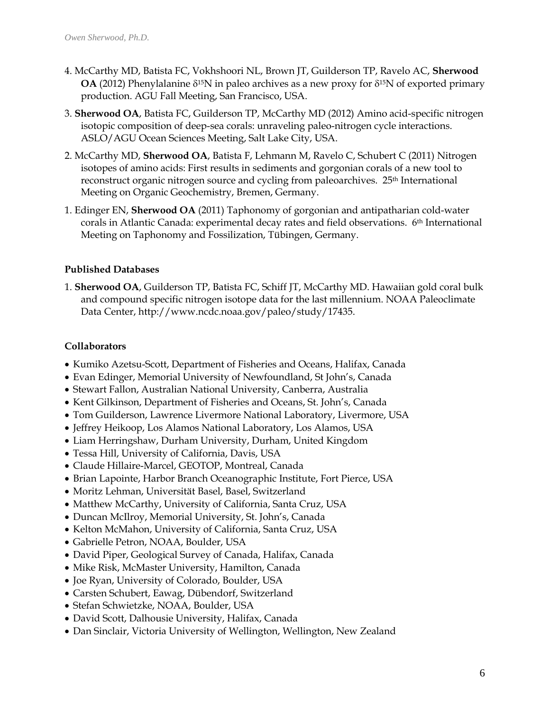- 4. McCarthy MD, Batista FC, Vokhshoori NL, Brown JT, Guilderson TP, Ravelo AC, **Sherwood OA** (2012) Phenylalanine  $\delta^{15}N$  in paleo archives as a new proxy for  $\delta^{15}N$  of exported primary production. AGU Fall Meeting, San Francisco, USA.
- 3. **Sherwood OA**, Batista FC, Guilderson TP, McCarthy MD (2012) Amino acid-specific nitrogen isotopic composition of deep-sea corals: unraveling paleo-nitrogen cycle interactions. ASLO/AGU Ocean Sciences Meeting, Salt Lake City, USA.
- 2. McCarthy MD, **Sherwood OA**, Batista F, Lehmann M, Ravelo C, Schubert C (2011) Nitrogen isotopes of amino acids: First results in sediments and gorgonian corals of a new tool to reconstruct organic nitrogen source and cycling from paleoarchives. 25<sup>th</sup> International Meeting on Organic Geochemistry, Bremen, Germany.
- 1. Edinger EN, **Sherwood OA** (2011) Taphonomy of gorgonian and antipatharian cold-water corals in Atlantic Canada: experimental decay rates and field observations. 6th International Meeting on Taphonomy and Fossilization, Tübingen, Germany.

# **Published Databases**

1. **Sherwood OA**, Guilderson TP, Batista FC, Schiff JT, McCarthy MD. Hawaiian gold coral bulk and compound specific nitrogen isotope data for the last millennium. NOAA Paleoclimate Data Center, http://www.ncdc.noaa.gov/paleo/study/17435.

### **Collaborators**

- Kumiko Azetsu-Scott, Department of Fisheries and Oceans, Halifax, Canada
- Evan Edinger, Memorial University of Newfoundland, St John's, Canada
- Stewart Fallon, Australian National University, Canberra, Australia
- Kent Gilkinson, Department of Fisheries and Oceans, St. John's, Canada
- Tom Guilderson, Lawrence Livermore National Laboratory, Livermore, USA
- Jeffrey Heikoop, Los Alamos National Laboratory, Los Alamos, USA
- Liam Herringshaw, Durham University, Durham, United Kingdom
- Tessa Hill, University of California, Davis, USA
- Claude Hillaire-Marcel, GEOTOP, Montreal, Canada
- Brian Lapointe, Harbor Branch Oceanographic Institute, Fort Pierce, USA
- Moritz Lehman, Universität Basel, Basel, Switzerland
- Matthew McCarthy, University of California, Santa Cruz, USA
- Duncan McIlroy, Memorial University, St. John's, Canada
- Kelton McMahon, University of California, Santa Cruz, USA
- Gabrielle Petron, NOAA, Boulder, USA
- David Piper, Geological Survey of Canada, Halifax, Canada
- Mike Risk, McMaster University, Hamilton, Canada
- Joe Ryan, University of Colorado, Boulder, USA
- Carsten Schubert, Eawag, Dübendorf, Switzerland
- Stefan Schwietzke, NOAA, Boulder, USA
- David Scott, Dalhousie University, Halifax, Canada
- Dan Sinclair, Victoria University of Wellington, Wellington, New Zealand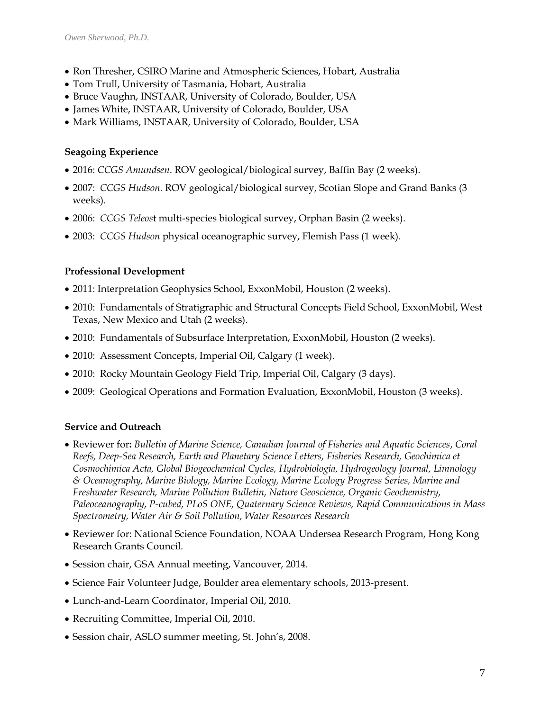- Ron Thresher, CSIRO Marine and Atmospheric Sciences, Hobart, Australia
- Tom Trull, University of Tasmania, Hobart, Australia
- Bruce Vaughn, INSTAAR, University of Colorado, Boulder, USA
- James White, INSTAAR, University of Colorado, Boulder, USA
- Mark Williams, INSTAAR, University of Colorado, Boulder, USA

### **Seagoing Experience**

- 2016: *CCGS Amundsen*. ROV geological/biological survey, Baffin Bay (2 weeks).
- 2007: *CCGS Hudson.* ROV geological/biological survey, Scotian Slope and Grand Banks (3 weeks).
- 2006: *CCGS Teleos*t multi-species biological survey, Orphan Basin (2 weeks).
- 2003: *CCGS Hudson* physical oceanographic survey, Flemish Pass (1 week).

# **Professional Development**

- 2011: Interpretation Geophysics School, ExxonMobil, Houston (2 weeks).
- 2010: Fundamentals of Stratigraphic and Structural Concepts Field School, ExxonMobil, West Texas, New Mexico and Utah (2 weeks).
- 2010: Fundamentals of Subsurface Interpretation, ExxonMobil, Houston (2 weeks).
- 2010: Assessment Concepts, Imperial Oil, Calgary (1 week).
- 2010: Rocky Mountain Geology Field Trip, Imperial Oil, Calgary (3 days).
- 2009: Geological Operations and Formation Evaluation, ExxonMobil, Houston (3 weeks).

# **Service and Outreach**

- Reviewer for**:** *Bulletin of Marine Science, Canadian Journal of Fisheries and Aquatic Sciences*, *Coral Reefs, Deep-Sea Research, Earth and Planetary Science Letters, Fisheries Research, Geochimica et Cosmochimica Acta, Global Biogeochemical Cycles, Hydrobiologia, Hydrogeology Journal, Limnology & Oceanography, Marine Biology, Marine Ecology, Marine Ecology Progress Series, Marine and Freshwater Research, Marine Pollution Bulletin, Nature Geoscience, Organic Geochemistry, Paleoceanography, P-cubed, PLoS ONE, Quaternary Science Reviews, Rapid Communications in Mass Spectrometry, Water Air & Soil Pollution, Water Resources Research*
- Reviewer for: National Science Foundation, NOAA Undersea Research Program, Hong Kong Research Grants Council.
- Session chair, GSA Annual meeting, Vancouver, 2014.
- Science Fair Volunteer Judge, Boulder area elementary schools, 2013-present.
- Lunch-and-Learn Coordinator, Imperial Oil, 2010.
- Recruiting Committee, Imperial Oil, 2010.
- Session chair, ASLO summer meeting, St. John's, 2008.